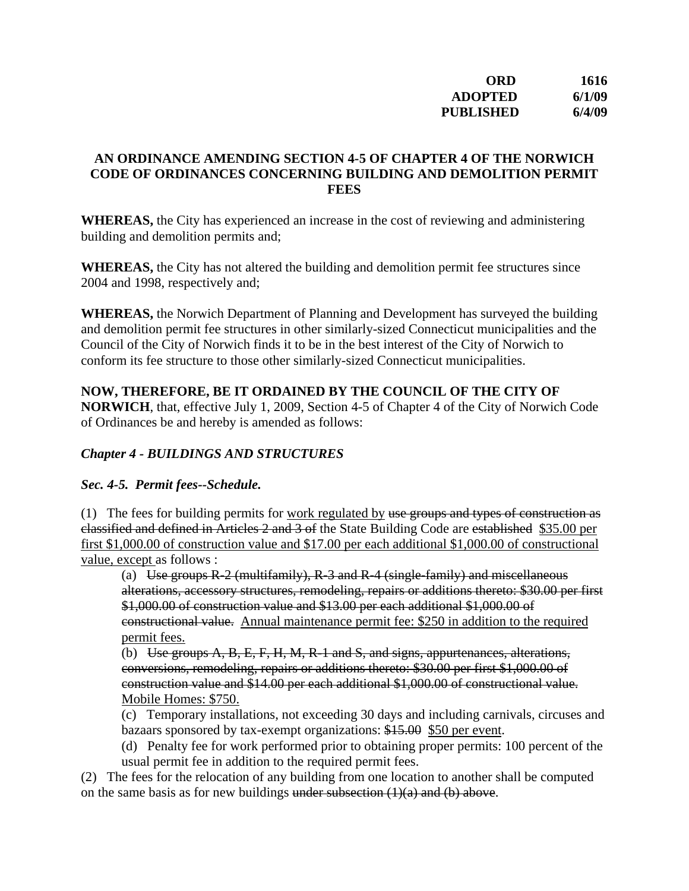| ORD              | 1616   |
|------------------|--------|
| ADOPTED          | 6/1/09 |
| <b>PUBLISHED</b> | 6/4/09 |

#### **AN ORDINANCE AMENDING SECTION 4-5 OF CHAPTER 4 OF THE NORWICH CODE OF ORDINANCES CONCERNING BUILDING AND DEMOLITION PERMIT FEES**

**WHEREAS,** the City has experienced an increase in the cost of reviewing and administering building and demolition permits and;

**WHEREAS,** the City has not altered the building and demolition permit fee structures since 2004 and 1998, respectively and;

**WHEREAS,** the Norwich Department of Planning and Development has surveyed the building and demolition permit fee structures in other similarly-sized Connecticut municipalities and the Council of the City of Norwich finds it to be in the best interest of the City of Norwich to conform its fee structure to those other similarly-sized Connecticut municipalities.

## **NOW, THEREFORE, BE IT ORDAINED BY THE COUNCIL OF THE CITY OF**

**NORWICH**, that, effective July 1, 2009, Section 4-5 of Chapter 4 of the City of Norwich Code of Ordinances be and hereby is amended as follows:

#### *Chapter 4 - BUILDINGS AND STRUCTURES*

#### *Sec. 4-5. Permit fees--Schedule.*

(1) The fees for building permits for work regulated by use groups and types of construction as classified and defined in Articles 2 and 3 of the State Building Code are established \$35.00 per first \$1,000.00 of construction value and \$17.00 per each additional \$1,000.00 of constructional value, except as follows :

(a) Use groups  $R-2$  (multifamily),  $R-3$  and  $R-4$  (single-family) and miscellaneous alterations, accessory structures, remodeling, repairs or additions thereto: \$30.00 per first \$1,000.00 of construction value and \$13.00 per each additional \$1,000.00 of constructional value. Annual maintenance permit fee: \$250 in addition to the required permit fees.

(b) Use groups  $A, B, E, F, H, M, R-1$  and  $S$ , and signs, appurtenances, alterations, conversions, remodeling, repairs or additions thereto: \$30.00 per first \$1,000.00 of construction value and \$14.00 per each additional \$1,000.00 of constructional value. Mobile Homes: \$750.

(c) Temporary installations, not exceeding 30 days and including carnivals, circuses and bazaars sponsored by tax-exempt organizations: \$15.00 \$50 per event.

(d) Penalty fee for work performed prior to obtaining proper permits: 100 percent of the usual permit fee in addition to the required permit fees.

(2) The fees for the relocation of any building from one location to another shall be computed on the same basis as for new buildings under subsection  $(1)(a)$  and  $(b)$  above.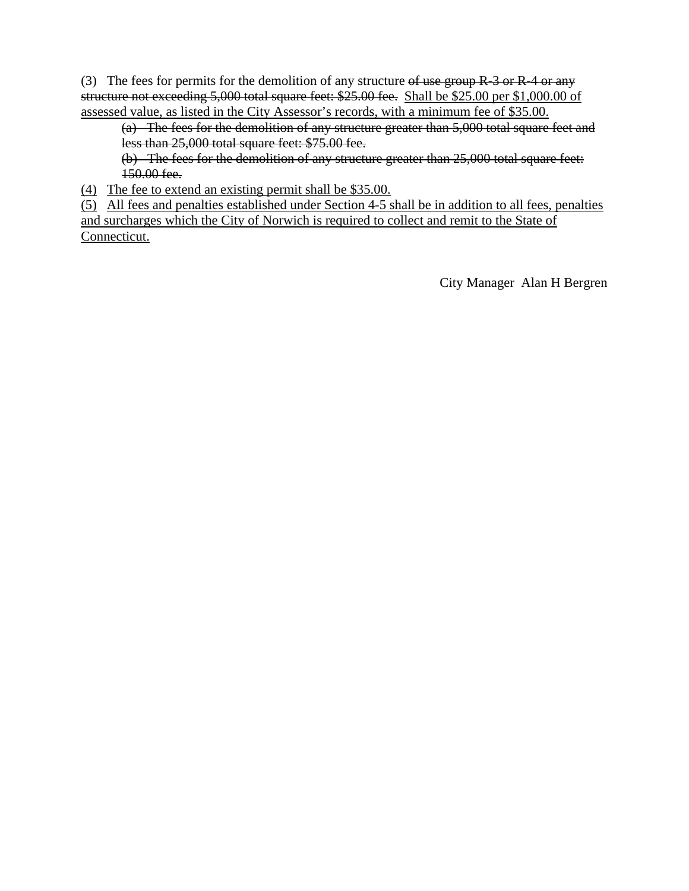(3) The fees for permits for the demolition of any structure of use group  $R-3$  or  $R-4$  or any structure not exceeding 5,000 total square feet: \$25.00 fee. Shall be \$25.00 per \$1,000.00 of assessed value, as listed in the City Assessor's records, with a minimum fee of \$35.00.

(a) The fees for the demolition of any structure greater than 5,000 total square feet and less than 25,000 total square feet: \$75.00 fee.

(b) The fees for the demolition of any structure greater than 25,000 total square feet: 150.00 fee.

(4) The fee to extend an existing permit shall be \$35.00.

(5) All fees and penalties established under Section 4-5 shall be in addition to all fees, penalties and surcharges which the City of Norwich is required to collect and remit to the State of Connecticut.

City Manager Alan H Bergren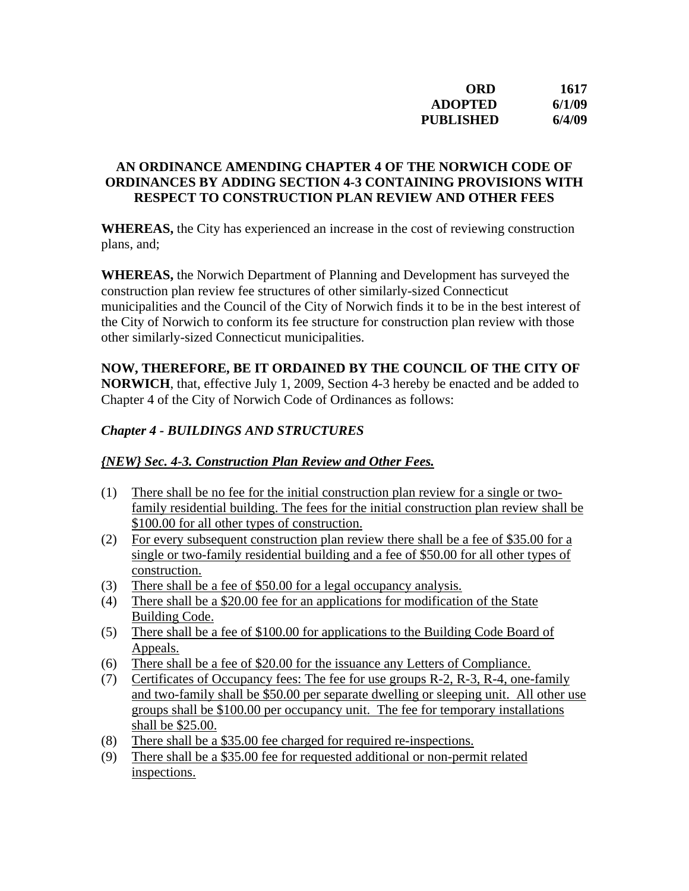| ORD              | 1617   |
|------------------|--------|
| <b>ADOPTED</b>   | 6/1/09 |
| <b>PUBLISHED</b> | 6/4/09 |

#### **AN ORDINANCE AMENDING CHAPTER 4 OF THE NORWICH CODE OF ORDINANCES BY ADDING SECTION 4-3 CONTAINING PROVISIONS WITH RESPECT TO CONSTRUCTION PLAN REVIEW AND OTHER FEES**

**WHEREAS,** the City has experienced an increase in the cost of reviewing construction plans, and;

**WHEREAS,** the Norwich Department of Planning and Development has surveyed the construction plan review fee structures of other similarly-sized Connecticut municipalities and the Council of the City of Norwich finds it to be in the best interest of the City of Norwich to conform its fee structure for construction plan review with those other similarly-sized Connecticut municipalities.

# **NOW, THEREFORE, BE IT ORDAINED BY THE COUNCIL OF THE CITY OF**

**NORWICH**, that, effective July 1, 2009, Section 4-3 hereby be enacted and be added to Chapter 4 of the City of Norwich Code of Ordinances as follows:

### *Chapter 4 - BUILDINGS AND STRUCTURES*

#### *{NEW} Sec. 4-3. Construction Plan Review and Other Fees.*

- (1) There shall be no fee for the initial construction plan review for a single or twofamily residential building. The fees for the initial construction plan review shall be \$100.00 for all other types of construction.
- (2) For every subsequent construction plan review there shall be a fee of \$35.00 for a single or two-family residential building and a fee of \$50.00 for all other types of construction.
- (3) There shall be a fee of \$50.00 for a legal occupancy analysis.
- (4) There shall be a \$20.00 fee for an applications for modification of the State Building Code.
- (5) There shall be a fee of \$100.00 for applications to the Building Code Board of Appeals.
- (6) There shall be a fee of \$20.00 for the issuance any Letters of Compliance.
- (7) Certificates of Occupancy fees: The fee for use groups R-2, R-3, R-4, one-family and two-family shall be \$50.00 per separate dwelling or sleeping unit. All other use groups shall be \$100.00 per occupancy unit. The fee for temporary installations shall be \$25.00.
- (8) There shall be a \$35.00 fee charged for required re-inspections.
- (9) There shall be a \$35.00 fee for requested additional or non-permit related inspections.